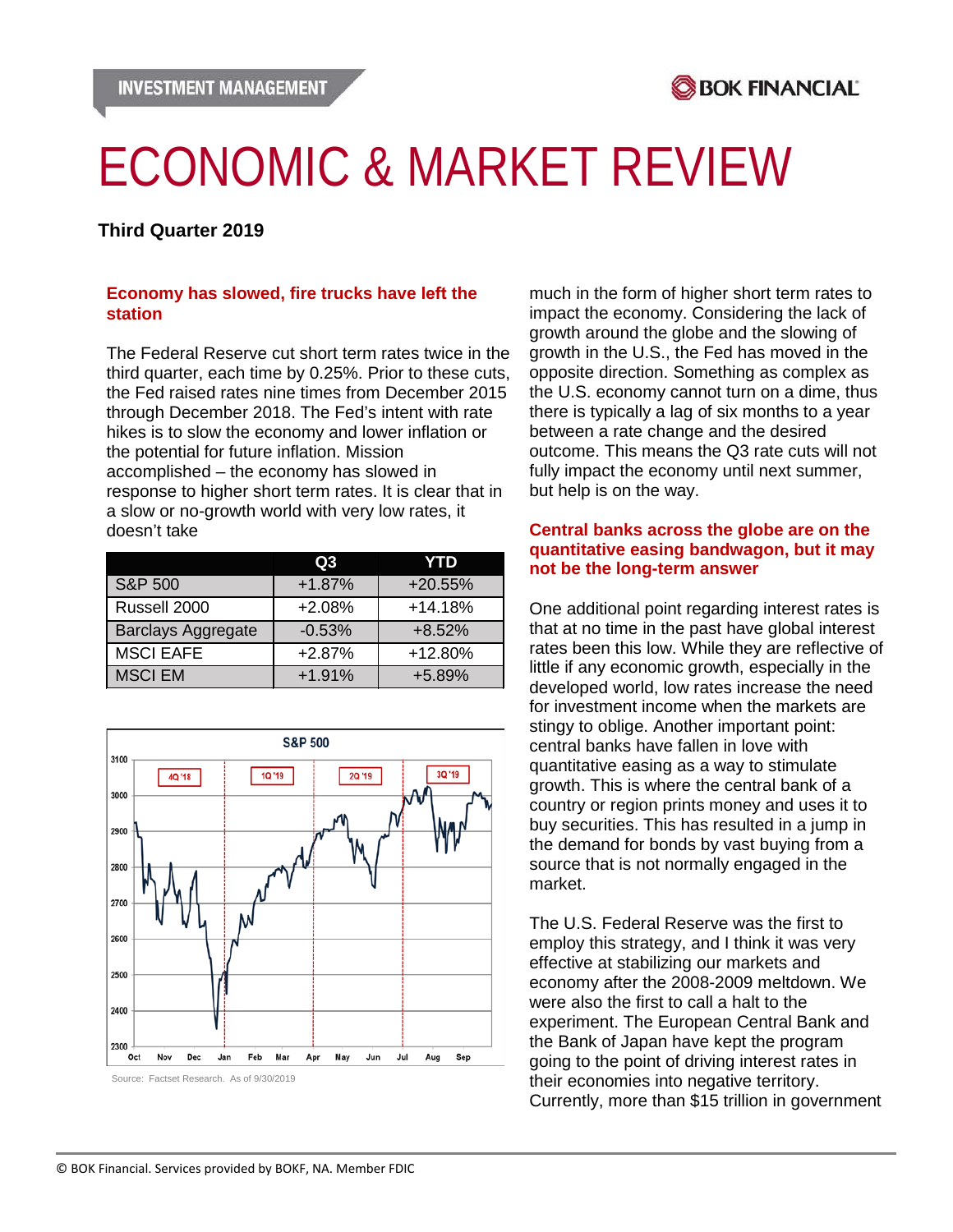

# ECONOMIC & MARKET REVIEW

# **Third Quarter 2019**

## **Economy has slowed, fire trucks have left the station**

The Federal Reserve cut short term rates twice in the third quarter, each time by 0.25%. Prior to these cuts, the Fed raised rates nine times from December 2015 through December 2018. The Fed's intent with rate hikes is to slow the economy and lower inflation or the potential for future inflation. Mission accomplished – the economy has slowed in response to higher short term rates. It is clear that in a slow or no-growth world with very low rates, it doesn't take

|                           | Q3       | YTD       |
|---------------------------|----------|-----------|
| S&P 500                   | $+1.87%$ | $+20.55%$ |
| Russell 2000              | $+2.08%$ | $+14.18%$ |
| <b>Barclays Aggregate</b> | $-0.53%$ | $+8.52%$  |
| <b>MSCI EAFE</b>          | $+2.87%$ | +12.80%   |
| <b>MSCI EM</b>            | $+1.91%$ | $+5.89%$  |



Source: Factset Research. As of 9/30/2019

much in the form of higher short term rates to impact the economy. Considering the lack of growth around the globe and the slowing of growth in the U.S., the Fed has moved in the opposite direction. Something as complex as the U.S. economy cannot turn on a dime, thus there is typically a lag of six months to a year between a rate change and the desired outcome. This means the Q3 rate cuts will not fully impact the economy until next summer, but help is on the way.

## **Central banks across the globe are on the quantitative easing bandwagon, but it may not be the long-term answer**

One additional point regarding interest rates is that at no time in the past have global interest rates been this low. While they are reflective of little if any economic growth, especially in the developed world, low rates increase the need for investment income when the markets are stingy to oblige. Another important point: central banks have fallen in love with quantitative easing as a way to stimulate growth. This is where the central bank of a country or region prints money and uses it to buy securities. This has resulted in a jump in the demand for bonds by vast buying from a source that is not normally engaged in the market.

The U.S. Federal Reserve was the first to employ this strategy, and I think it was very effective at stabilizing our markets and economy after the 2008-2009 meltdown. We were also the first to call a halt to the experiment. The European Central Bank and the Bank of Japan have kept the program going to the point of driving interest rates in their economies into negative territory. Currently, more than \$15 trillion in government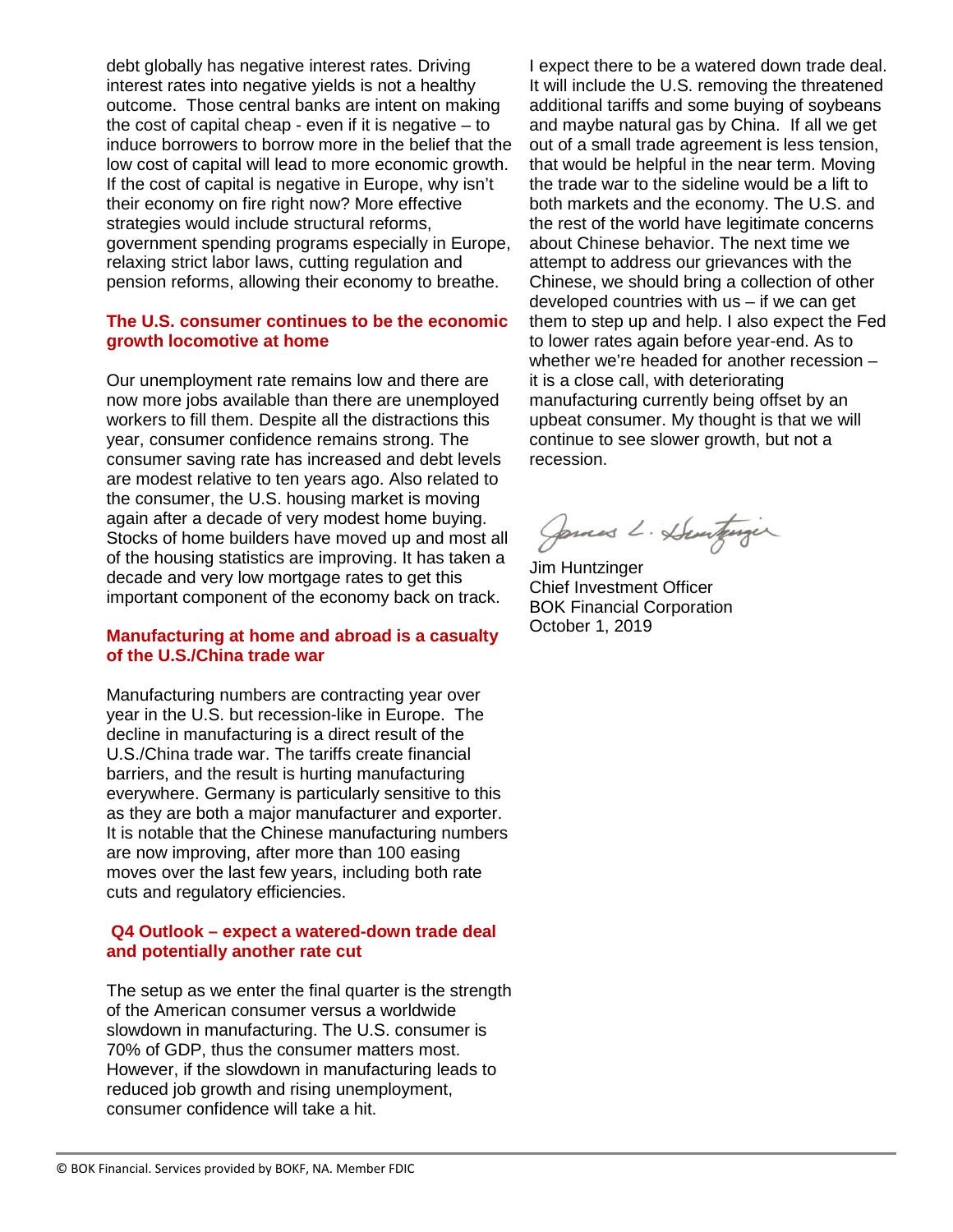debt globally has negative interest rates. Driving interest rates into negative yields is not a healthy outcome. Those central banks are intent on making the cost of capital cheap - even if it is negative  $-$  to induce borrowers to borrow more in the belief that the low cost of capital will lead to more economic growth. If the cost of capital is negative in Europe, why isn't their economy on fire right now? More effective strategies would include structural reforms, government spending programs especially in Europe, relaxing strict labor laws, cutting regulation and pension reforms, allowing their economy to breathe.

## **The U.S. consumer continues to be the economic growth locomotive at home**

Our unemployment rate remains low and there are now more jobs available than there are unemployed workers to fill them. Despite all the distractions this year, consumer confidence remains strong. The consumer saving rate has increased and debt levels are modest relative to ten years ago. Also related to the consumer, the U.S. housing market is moving again after a decade of very modest home buying. Stocks of home builders have moved up and most all of the housing statistics are improving. It has taken a decade and very low mortgage rates to get this important component of the economy back on track.

## **Manufacturing at home and abroad is a casualty of the U.S./China trade war**

Manufacturing numbers are contracting year over year in the U.S. but recession-like in Europe. The decline in manufacturing is a direct result of the U.S./China trade war. The tariffs create financial barriers, and the result is hurting manufacturing everywhere. Germany is particularly sensitive to this as they are both a major manufacturer and exporter. It is notable that the Chinese manufacturing numbers are now improving, after more than 100 easing moves over the last few years, including both rate cuts and regulatory efficiencies.

## **Q4 Outlook – expect a watered-down trade deal and potentially another rate cut**

The setup as we enter the final quarter is the strength of the American consumer versus a worldwide slowdown in manufacturing. The U.S. consumer is 70% of GDP, thus the consumer matters most. However, if the slowdown in manufacturing leads to reduced job growth and rising unemployment, consumer confidence will take a hit.

I expect there to be a watered down trade deal. It will include the U.S. removing the threatened additional tariffs and some buying of soybeans and maybe natural gas by China. If all we get out of a small trade agreement is less tension, that would be helpful in the near term. Moving the trade war to the sideline would be a lift to both markets and the economy. The U.S. and the rest of the world have legitimate concerns about Chinese behavior. The next time we attempt to address our grievances with the Chinese, we should bring a collection of other developed countries with  $us - if$  we can get them to step up and help. I also expect the Fed to lower rates again before year-end. As to whether we're headed for another recession – it is a close call, with deteriorating manufacturing currently being offset by an upbeat consumer. My thought is that we will continue to see slower growth, but not a recession.

James L. Dunturger

Jim Huntzinger Chief Investment Officer BOK Financial Corporation October 1, 2019